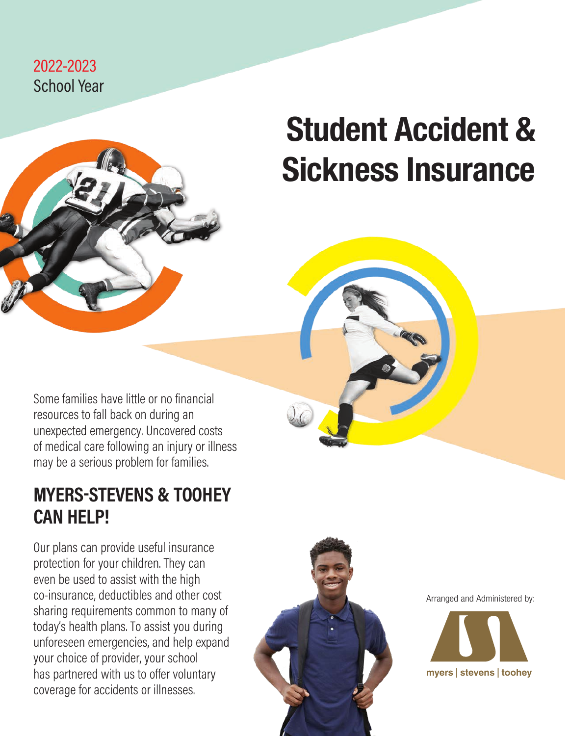### 2022-2023 School Year



# Student Accident & Sickness Insurance

Some families have little or no financial resources to fall back on during an unexpected emergency. Uncovered costs of medical care following an injury or illness may be a serious problem for families.

### **MYERS-STEVENS & TOOHEY CAN HELP!**

Our plans can provide useful insurance protection for your children. They can even be used to assist with the high co-insurance, deductibles and other cost sharing requirements common to many of today's health plans. To assist you during unforeseen emergencies, and help expand your choice of provider, your school has partnered with us to offer voluntary coverage for accidents or illnesses.



Arranged and Administered by:

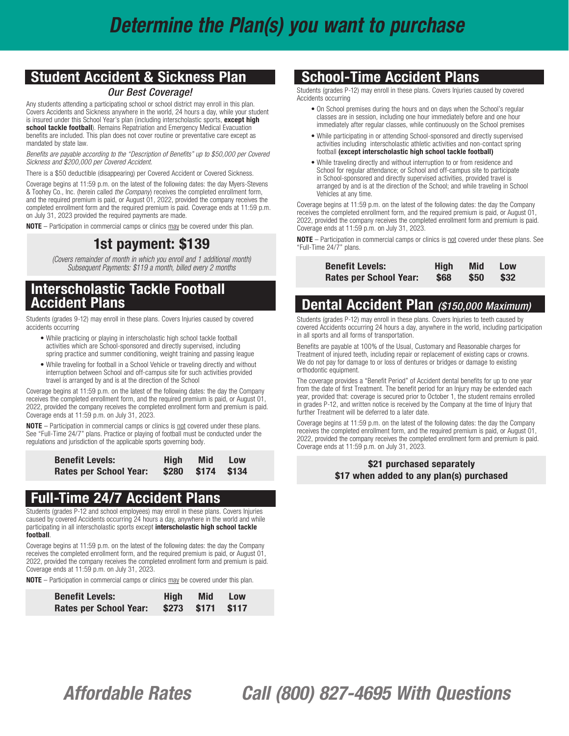### Student Accident & Sickness Plan

#### *Our Best Coverage!*

Any students attending a participating school or school district may enroll in this plan. Covers Accidents and Sickness anywhere in the world, 24 hours a day, while your student is insured under this School Year's plan (including interscholastic sports, except high school tackle football). Remains Repatriation and Emergency Medical Evacuation benefits are included. This plan does not cover routine or preventative care except as mandated by state law.

*Benefits are payable according to the "Description of Benefits" up to \$50,000 per Covered Sickness and \$200,000 per Covered Accident.*

There is a \$50 deductible (disappearing) per Covered Accident or Covered Sickness.

Coverage begins at 11:59 p.m. on the latest of the following dates: the day Myers-Stevens & Toohey Co., Inc. (herein called *the Company*) receives the completed enrollment form, and the required premium is paid, or August 01, 2022, provided the company receives the completed enrollment form and the required premium is paid. Coverage ends at 11:59 p.m. on July 31, 2023 provided the required payments are made.

NOTE – Participation in commercial camps or clinics may be covered under this plan.

### 1st payment: \$139

*(Covers remainder of month in which you enroll and 1 additional month) Subsequent Payments: \$119 a month, billed every 2 months*

### Interscholastic Tackle Football Accident Plans

Students (grades 9-12) may enroll in these plans. Covers Injuries caused by covered accidents occurring

- While practicing or playing in interscholastic high school tackle football activities which are School-sponsored and directly supervised, including spring practice and summer conditioning, weight training and passing league
- While traveling for football in a School Vehicle or traveling directly and without interruption between School and off-campus site for such activities provided travel is arranged by and is at the direction of the School

Coverage begins at 11:59 p.m. on the latest of the following dates: the day the Company receives the completed enrollment form, and the required premium is paid, or August 01, 2022, provided the company receives the completed enrollment form and premium is paid. Coverage ends at 11:59 p.m. on July 31, 2023.

NOTE – Participation in commercial camps or clinics is not covered under these plans. See "Full-Time 24/7" plans. Practice or playing of football must be conducted under the regulations and jurisdiction of the applicable sports governing body.

| <b>Benefit Levels:</b> | Hiah | Mid               | <b>Low</b> |  |
|------------------------|------|-------------------|------------|--|
| Rates per School Year: |      | \$280 \$174 \$134 |            |  |

### Full-Time 24/7 Accident Plans

Students (grades P-12 and school employees) may enroll in these plans. Covers Injuries caused by covered Accidents occurring 24 hours a day, anywhere in the world and while participating in all interscholastic sports except interscholastic high school tackle football.

Coverage begins at 11:59 p.m. on the latest of the following dates: the day the Company receives the completed enrollment form, and the required premium is paid, or August 01, 2022, provided the company receives the completed enrollment form and premium is paid. Coverage ends at 11:59 p.m. on July 31, 2023.

NOTE – Participation in commercial camps or clinics may be covered under this plan.

| <b>Benefit Levels:</b> | <b>High</b> | Mid Low           |  |
|------------------------|-------------|-------------------|--|
| Rates per School Year: |             | \$273 \$171 \$117 |  |

### School-Time Accident Plans

Students (grades P-12) may enroll in these plans. Covers Injuries caused by covered Accidents occurring

- On School premises during the hours and on days when the School's regular classes are in session, including one hour immediately before and one hour immediately after regular classes, while continuously on the School premises
- While participating in or attending School-sponsored and directly supervised activities including interscholastic athletic activities and non-contact spring football (except interscholastic high school tackle football)
- While traveling directly and without interruption to or from residence and School for regular attendance; or School and off-campus site to participate in School-sponsored and directly supervised activities, provided travel is arranged by and is at the direction of the School; and while traveling in School Vehicles at any time.

Coverage begins at 11:59 p.m. on the latest of the following dates: the day the Company receives the completed enrollment form, and the required premium is paid, or August 01, 2022, provided the company receives the completed enrollment form and premium is paid. Coverage ends at 11:59 p.m. on July 31, 2023.

NOTE – Participation in commercial camps or clinics is not covered under these plans. See "Full-Time 24/7" plans.

| <b>Benefit Levels:</b>        | High       | <b>Mid</b> | <b>Low</b> |
|-------------------------------|------------|------------|------------|
| <b>Rates per School Year:</b> | <b>S68</b> | \$50       | \$32       |

### Dental Accident Plan *(\$150,000 Maximum)*

Students (grades P-12) may enroll in these plans. Covers Injuries to teeth caused by covered Accidents occurring 24 hours a day, anywhere in the world, including participation in all sports and all forms of transportation.

Benefits are payable at 100% of the Usual, Customary and Reasonable charges for Treatment of injured teeth, including repair or replacement of existing caps or crowns. We do not pay for damage to or loss of dentures or bridges or damage to existing orthodontic equipment.

The coverage provides a "Benefit Period" of Accident dental benefits for up to one year from the date of first Treatment. The benefit period for an Injury may be extended each year, provided that: coverage is secured prior to October 1, the student remains enrolled in grades P-12, and written notice is received by the Company at the time of Injury that further Treatment will be deferred to a later date.

Coverage begins at 11:59 p.m. on the latest of the following dates: the day the Company receives the completed enrollment form, and the required premium is paid, or August 01, 2022, provided the company receives the completed enrollment form and premium is paid. Coverage ends at 11:59 p.m. on July 31, 2023.

#### \$21 purchased separately \$17 when added to any plan(s) purchased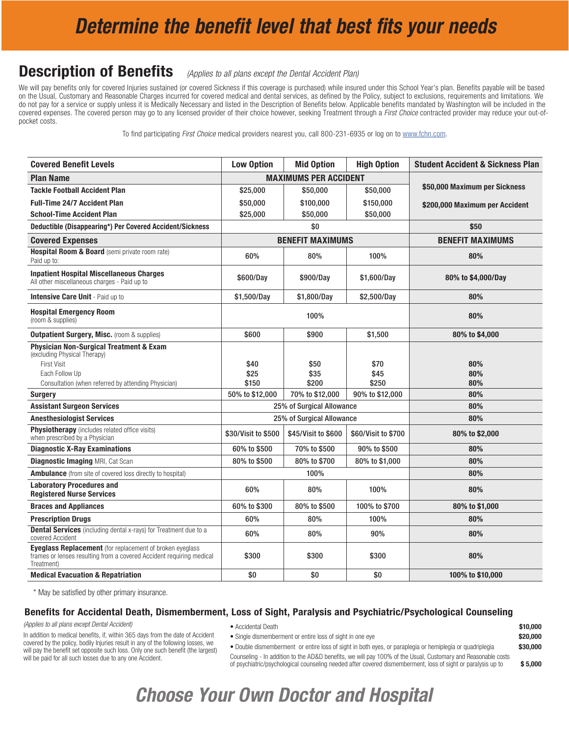### *Determine the benefit level that best fits your needs*

### **Description of Benefits** (Applies to all plans except the Dental Accident Plan)

We will pay benefits only for covered Injuries sustained (or covered Sickness if this coverage is purchased) while insured under this School Year's plan. Benefits payable will be based on the Usual, Customary and Reasonable Charges incurred for covered medical and dental services, as defined by the Policy, subject to exclusions, requirements and limitations. We do not pay for a service or supply unless it is Medically Necessary and listed in the Description of Benefits below. Applicable benefits mandated by Washington will be included in the covered expenses. The covered person may go to any licensed provider of their choice however, seeking Treatment through a *First Choice* contracted provider may reduce your out-ofpocket costs.

To find participating *First Choice* medical providers nearest you, call 800-231-6935 or log on to www.fchn.com.

| <b>Covered Benefit Levels</b>                                                                                                                                                     | <b>Low Option</b>     | <b>Mid Option</b>            | <b>High Option</b>    | <b>Student Accident &amp; Sickness Plan</b> |
|-----------------------------------------------------------------------------------------------------------------------------------------------------------------------------------|-----------------------|------------------------------|-----------------------|---------------------------------------------|
| <b>Plan Name</b>                                                                                                                                                                  |                       | <b>MAXIMUMS PER ACCIDENT</b> |                       |                                             |
| <b>Tackle Football Accident Plan</b>                                                                                                                                              | \$25,000              | \$50,000                     | \$50,000              | \$50,000 Maximum per Sickness               |
| <b>Full-Time 24/7 Accident Plan</b>                                                                                                                                               | \$50,000              | \$100,000                    | \$150,000             | \$200,000 Maximum per Accident              |
| <b>School-Time Accident Plan</b>                                                                                                                                                  | \$25,000              | \$50,000                     | \$50,000              |                                             |
| Deductible (Disappearing*) Per Covered Accident/Sickness                                                                                                                          |                       | \$0                          |                       | \$50                                        |
| <b>Covered Expenses</b>                                                                                                                                                           |                       | <b>BENEFIT MAXIMUMS</b>      |                       | <b>BENEFIT MAXIMUMS</b>                     |
| Hospital Room & Board (semi private room rate)<br>Paid up to:                                                                                                                     | 60%                   | 80%                          | 100%                  | 80%                                         |
| <b>Inpatient Hospital Miscellaneous Charges</b><br>All other miscellaneous charges - Paid up to                                                                                   | \$600/Day             | \$900/Day                    | \$1,600/Day           | 80% to \$4,000/Day                          |
| <b>Intensive Care Unit - Paid up to</b>                                                                                                                                           | \$1,500/Day           | \$1,800/Day                  | \$2,500/Day           | 80%                                         |
| <b>Hospital Emergency Room</b><br>(room & supplies)                                                                                                                               | 100%                  |                              | 80%                   |                                             |
| <b>Outpatient Surgery, Misc.</b> (room & supplies)                                                                                                                                | \$600                 | \$900                        | \$1,500               | 80% to \$4,000                              |
| <b>Physician Non-Surgical Treatment &amp; Exam</b><br>(excluding Physical Therapy)<br><b>First Visit</b><br>Each Follow Up<br>Consultation (when referred by attending Physician) | \$40<br>\$25<br>\$150 | \$50<br>\$35<br>\$200        | \$70<br>\$45<br>\$250 | 80%<br>80%<br>80%                           |
| <b>Surgery</b>                                                                                                                                                                    | 50% to \$12,000       | 70% to \$12,000              | 90% to \$12,000       | 80%                                         |
| <b>Assistant Surgeon Services</b>                                                                                                                                                 |                       | 25% of Surgical Allowance    |                       | 80%                                         |
| <b>Anesthesiologist Services</b>                                                                                                                                                  |                       | 25% of Surgical Allowance    |                       | 80%                                         |
| Physiotherapy (includes related office visits)<br>when prescribed by a Physician                                                                                                  | \$30/Visit to \$500   | \$45/Visit to \$600          | \$60/Visit to \$700   | 80% to \$2,000                              |
| <b>Diagnostic X-Ray Examinations</b>                                                                                                                                              | 60% to \$500          | 70% to \$500                 | 90% to \$500          | 80%                                         |
| <b>Diagnostic Imaging MRI, Cat Scan</b>                                                                                                                                           | 80% to \$500          | 80% to \$700                 | 80% to \$1,000        | 80%                                         |
| <b>Ambulance</b> (from site of covered loss directly to hospital)                                                                                                                 | 100%                  |                              | 80%                   |                                             |
| <b>Laboratory Procedures and</b><br><b>Registered Nurse Services</b>                                                                                                              | 60%                   | 80%                          | 100%                  | 80%                                         |
| <b>Braces and Appliances</b>                                                                                                                                                      | 60% to \$300          | 80% to \$500                 | 100% to \$700         | 80% to \$1,000                              |
| <b>Prescription Drugs</b>                                                                                                                                                         | 60%                   | 80%                          | 100%                  | 80%                                         |
| <b>Dental Services</b> (including dental x-rays) for Treatment due to a<br>covered Accident                                                                                       | 60%                   | 80%                          | 90%                   | 80%                                         |
| <b>Eyeglass Replacement</b> (for replacement of broken eyeglass<br>frames or lenses resulting from a covered Accident requiring medical<br>Treatment)                             | \$300                 | \$300                        | \$300                 | 80%                                         |
| <b>Medical Evacuation &amp; Repatriation</b>                                                                                                                                      | \$0                   | \$0                          | \$0                   | 100% to \$10,000                            |

\* May be satisfied by other primary insurance.

#### Benefits for Accidental Death, Dismemberment, Loss of Sight, Paralysis and Psychiatric/Psychological Counseling

*(Applies to all plans except Dental Accident)*

- Accidental Death  $\bullet$  10,000
- Single dismemberment or entire loss of sight in one eye **\*20,000 \$20,000** • Double dismemberment or entire loss of sight in both eyes, or paraplegia or hemiplegia or quadriplegia  $$30,000$ Counseling - In addition to the AD&D benefits, we will pay 100% of the Usual, Customary and Reasonable costs of psychiatric/psychological counseling needed after covered dismemberment, loss of sight or paralysis up to \$ 5,000

In addition to medical benefits, if, within 365 days from the date of Accident covered by the policy, bodily Injuries result in any of the following losses, we will pay the benefit set opposite such loss. Only one such benefit (the largest) will be paid for all such losses due to any one Accident.

*Choose Your Own Doctor and Hospital*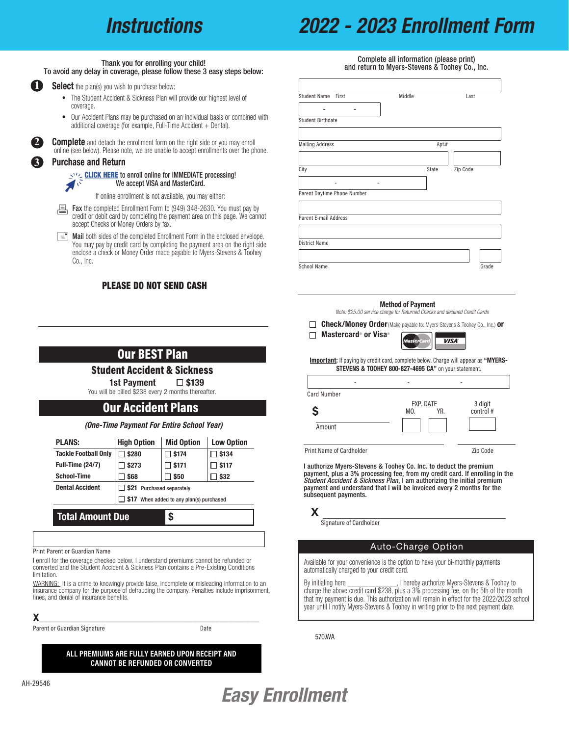### *Instructions*

### *2022 - 2023 Enrollment Form*

#### Thank you for enrolling your child! To avoid any delay in coverage, please follow these 3 easy steps below:



**Select** the plan(s) you wish to purchase below:

- The Student Accident & Sickness Plan will provide our highest level of coverage.
- Our Accident Plans may be purchased on an individual basis or combined with additional coverage (for example, Full-Time Accident + Dental).



**Complete** and detach the enrollment form on the right side or you may enroll online (see below). Please note, we are unable to accept enrollments over the phone.

#### Pur[chase and Return](https://www.myers-stevens.com/enrollment-page/)

CLICK HERE to enroll online for IMMEDIATE processing! い We accept VISA and MasterCard.

If online enrollment is not available, you may either:

- **Exampleted Enrollment Form to (949) 348-2630. You must pay by credit or debit card by completing the payment area on this page.** We cann credit or debit card by completing the payment area on this page. We cannot accept Checks or Money Orders by fax.
- $\equiv$  **Mail** both sides of the completed Enrollment Form in the enclosed envelope. You may pay by credit card by completing the payment area on the right side enclose a check or Money Order made payable to Myers-Stevens & Toohey Co., Inc.

#### PLEASE DO NOT SEND CASH

Student Accident & Sickness 1st Payment  $\Box$  \$139 You will be billed \$238 every 2 months thereafter.

Our BEST Plan

*(One-Time Payment For Entire School Year)* PLANS: High Option | Mid Option | Low Option Tackle Football Only  $\boxed{\square}$  \$280  $\boxed{\square}$  \$174  $\boxed{\square}$  \$134 Full-Time (24/7)  $\Box$  \$273  $\Box$  \$171  $\Box$  \$117 School-Time  $\Box$  \$68  $\Box$  \$50  $\Box$  \$32

Our Accident Plans

**517** When added to any plan(s) purchased

Dental Accident  $\Box$  \$21 Purchased separately

Total Amount Due 5

Print Parent or Guardian Name

fines, and denial of insurance benefits.

|                                       | Complete all information (please print) |       | and return to Myers-Stevens & Toohey Co., Inc. |
|---------------------------------------|-----------------------------------------|-------|------------------------------------------------|
| <b>Student Name</b><br>First          | Middle                                  |       | Last                                           |
| <b>Student Birthdate</b>              |                                         |       |                                                |
| <b>Mailing Address</b>                |                                         | Apt.# |                                                |
| City                                  |                                         | State | Zip Code                                       |
| -<br>٠<br>Parent Daytime Phone Number |                                         |       |                                                |
| Parent E-mail Address                 |                                         |       |                                                |
|                                       |                                         |       |                                                |
| <b>District Name</b>                  |                                         |       |                                                |
| <b>School Name</b>                    |                                         |       | Grade                                          |

#### Method of Payment

*Note: \$25.00 service charge for Returned Checks and declined Credit Cards*

**Check/Money Order** (Make payable to: Myers-Stevens & Toohey Co., Inc.) **or** 



Important: If paying by credit card, complete below. Charge will appear as "MYERS-STEVENS & TOOHEY 800-827-4695 CA" on your statement.

| <b>Card Number</b>              |                         |                      |
|---------------------------------|-------------------------|----------------------|
|                                 | EXP. DATE<br>YR.<br>MO. | 3 digit<br>control # |
| Amount                          |                         |                      |
| <b>Print Name of Cardholder</b> |                         | Zip Code             |

I authorize Myers-Stevens & Toohey Co. Inc. to deduct the premium payment, plus a 3% processing fee, from my credit card. If enrolling in the *Student Accident & Sickness Plan*, I am authorizing the initial premium payment and understand that I will be invoiced every 2 months for the subsequent payments.

#### **X**

Signature of Cardholder

Mastercard® or Visa®

#### Auto-Charge Option

Available for your convenience is the option to have your bi-monthly payments automatically charged to your credit card.

By initialing here \_\_\_\_\_\_\_\_\_\_\_\_\_\_, I hereby authorize Myers-Stevens & Toohey to charge the above credit card \$238, plus a 3% processing fee, on the 5th of the month that my payment is due. This authorization will remain in effect for the 2022/2023 school year until I notify Myers-Stevens & Toohey in writing prior to the next payment date.

570.WA

**ALL PREMIUMS ARE FULLY EARNED UPON RECEIPT AND CANNOT BE REFUNDED OR CONVERTED**

I enroll for the coverage checked below. I understand premiums cannot be refunded or converted and the Student Accident & Sickness Plan contains a Pre-Existing Conditions

WARNING: It is a crime to knowingly provide false, incomplete or misleading information to an insurance company for the purpose of defrauding the company. Penalties include imprisonment,

 ${\sf X}$  , and the set of the set of the set of the set of the set of the set of the set of the set of the set of the set of the set of the set of the set of the set of the set of the set of the set of the set of the set of

Parent or Guardian Signature **Date** Date

AH-29546

limitation.

### *Easy Enrollment*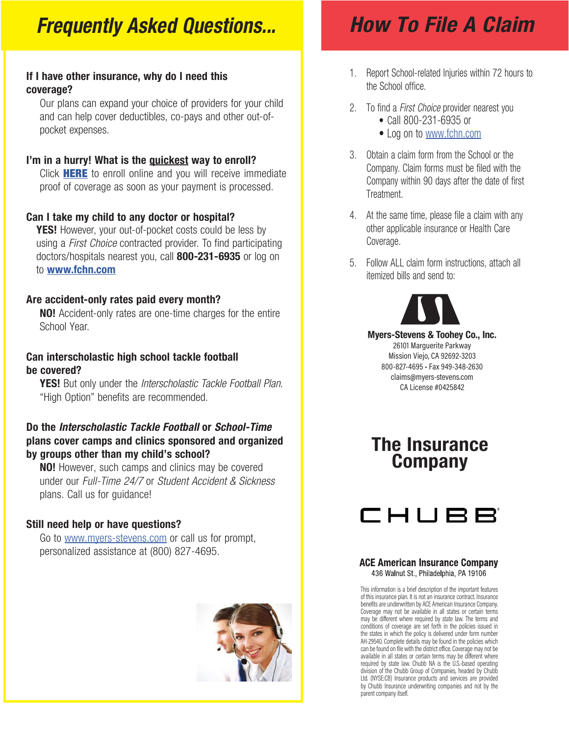### *Frequently Asked Questions...*

### If I have other insurance, why do I need this coverage?

Our plans can expand your choice of providers for your child and can help cover deductibles, co-pays and other out-ofpocket expenses.

### I'm [in a hurry! Wh](https://www.myers-stevens.com/enrollment-page/)at is the quickest way to enroll?

Click **HERE** to enroll online and you will receive immediate proof of coverage as soon as your payment is processed.

### Can I take my child to any doctor or hospital?

**YES!** However, your out-of-pocket costs could be less by using a *First Choice* contracted provider. To find participating doctors/hospitals nearest you, call **800-231-6935** or log on to www.fchn.com

### Are accident-only rates paid every month?

NO! Accident-only rates are one-time charges for the entire School Year.

### Can interscholastic high school tackle football be covered?

YES! But only under the *Interscholastic Tackle Football Plan*. "High Option" benefits are recommended.

### Do the *Interscholastic Tackle Football* or *School-Time* plans cover camps and clinics sponsored and organized by groups other than my child's school?

**NO!** However, such camps and clinics may be covered under our *Full-Time 24/7* or *Student Accident & Sickness*  plans. Call us for guidance!

### Still need help or have questions?

Go to www.myers-stevens.com or call us for prompt, personalized assistance at (800) 827-4695.



## *How To File A Claim*

- 1. Report School-related Injuries within 72 hours to the School office.
- 2. To find a *First Choice* provider nearest you • Call 800-231-6935 or
	- Log on to www.fchn.com
- 3. Obtain a claim form from the School or the Company. Claim forms must be filed with the Company within 90 days after the date of first Treatment.
- 4. At the same time, please file a claim with any other applicable insurance or Health Care Coverage.
- 5. Follow ALL claim form instructions, attach all itemized bills and send to:



Myers-Stevens & Toohey Co., Inc. 26101 Marguerite Parkway Mission Viejo, CA 92692-3203 800-827-4695 • Fax 949-348-2630 claims@myers-stevens.com CA License #0425842

### The Insurance Company



#### **ACE American Insurance Company** 436 Walnut St., Philadelphia, PA 19106

This information is a brief description of the important features of this insurance plan. It is not an insurance contract. Insurance benefits are underwritten by ACE American Insurance Company. Coverage may not be available in all states or certain terms may be different where required by state law. The terms and conditions of coverage are set forth in the policies issued in the states in which the policy is delivered under form number AH-29540. Complete details may be found in the policies which can be found on file with the district office. Coverage may not be available in all states or certain terms may be different where required by state law. Chubb NA is the U.S.-based operating division of the Chubb Group of Companies, headed by Chubb Ltd. (NYSE:CB) Insurance products and services are provided by Chubb Insurance underwriting companies and not by the parent company itself.